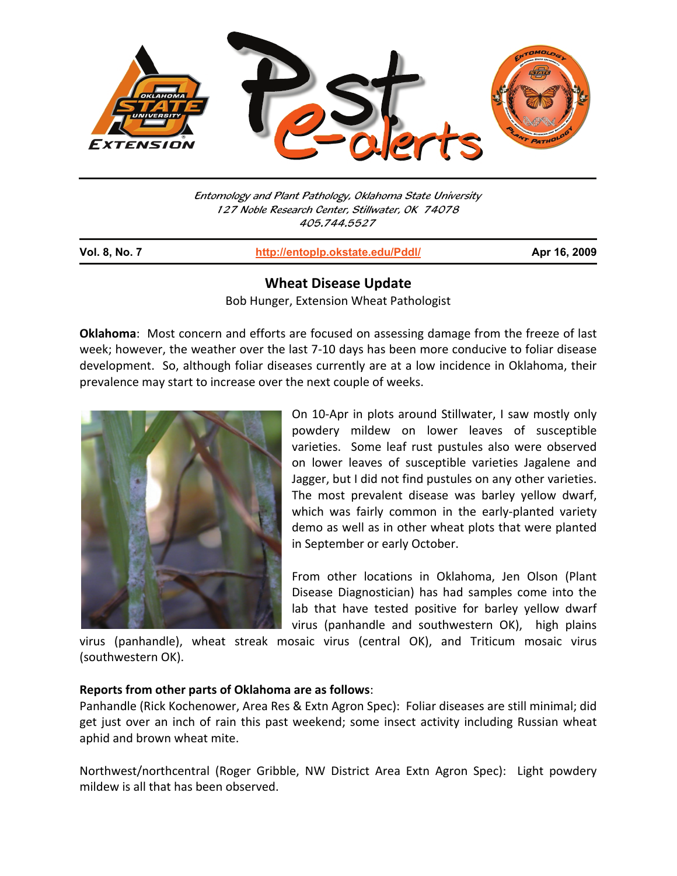

Entomology and Plant Pathology, Oklahoma State University 127 Noble Research Center, Stillwater, OK 74078 405.744.5527

j

**Vol. 8, No. 7 http://entoplp.okstate.edu/Pddl/ Apr 16, 2009**

## **Wheat Disease Update**

Bob Hunger, Extension Wheat Pathologist

**Oklahoma**: Most concern and efforts are focused on assessing damage from the freeze of last week; however, the weather over the last 7-10 days has been more conducive to foliar disease development. So, although foliar diseases currently are at a low incidence in Oklahoma, their prevalence may start to increase over the next couple of weeks.



On 10-Apr in plots around Stillwater, I saw mostly only powdery mildew on lower leaves of susceptible varieties. Some leaf rust pustules also were observed on lower leaves of susceptible varieties Jagalene and Jagger, but I did not find pustules on any other varieties. The most prevalent disease was barley yellow dwarf, which was fairly common in the early-planted variety demo as well as in other wheat plots that were planted in September or early October.

From other locations in Oklahoma, Jen Olson (Plant Disease Diagnostician) has had samples come into the lab that have tested positive for barley yellow dwarf virus (panhandle and southwestern OK), high plains

virus (panhandle), wheat streak mosaic virus (central OK), and Triticum mosaic virus (southwestern OK).

## **Reports from other parts of Oklahoma are as follows**:

Panhandle (Rick Kochenower, Area Res & Extn Agron Spec): Foliar diseases are still minimal; did get just over an inch of rain this past weekend; some insect activity including Russian wheat aphid and brown wheat mite.

Northwest/northcentral (Roger Gribble, NW District Area Extn Agron Spec): Light powdery mildew is all that has been observed.